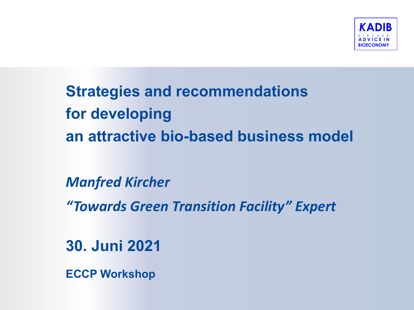

**Strategies and recommendations for developing an attractive bio-based business model** 

**Manfred Kircher** 

*"Towards Green Transition Facility" Expert*

**30. Juni 2021** 

**ECCP Workshop**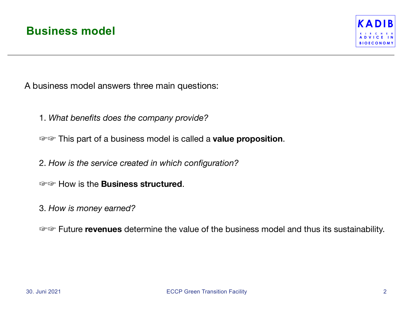

A business model answers three main questions:

1. *What benefits does the company provide?* 

☞☞ This part of a business model is called a **value proposition**.

2. *How is the service created in which configuration?* 

☞☞ How is the **Business structured**.

3. *How is money earned?* 

☞☞ Future **revenues** determine the value of the business model and thus its sustainability.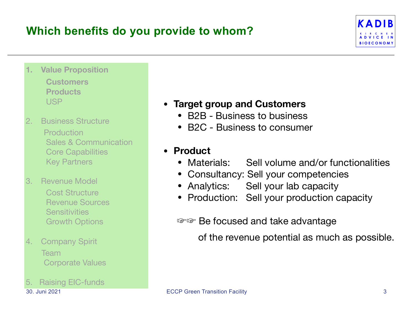### **Which benefits do you provide to whom?**



- **1. Value Proposition Customers Products**  USP
- 2. Business Structure Production Sales & Communication Core Capabilities Key Partners
- 3. Revenue Model Cost Structure Revenue Sources **Sensitivities** Growth Options
- 4. Company Spirit Team Corporate Values
- 5. Raising EIC-funds

#### **• Target group and Customers**

- B2B Business to business
- B2C Business to consumer

# **• Product**

- Sell volume and/or functionalities
- Consultancy: Sell your competencies
- Analytics: Sell your lab capacity
- Production: Sell your production capacity

☞☞ Be focused and take advantage

of the revenue potential as much as possible.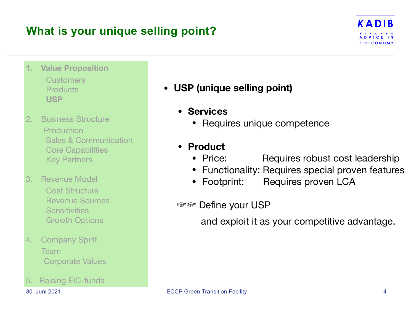### **What is your unique selling point?**



- **1. Value Proposition Customers Products USP**
- 2. Business Structure Production Sales & Communication Core Capabilities Key Partners
- 3. Revenue Model Cost Structure Revenue Sources **Sensitivities** Growth Options
- 4. Company Spirit Team Corporate Values
- 5. Raising EIC-funds
- **• USP (unique selling point)** 
	- **Services**
		- Requires unique competence
	- **• Product** 
		- Requires robust cost leadership
		- Functionality: Requires special proven features<br>• Footprint: Requires proven LCA
		- Requires proven LCA
	- ☞☞ Define your USP

and exploit it as your competitive advantage.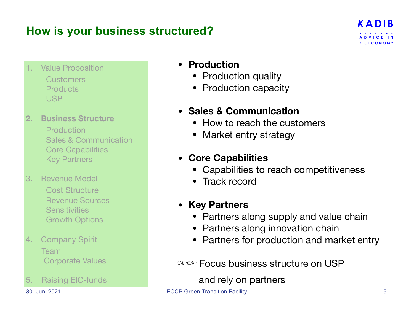### **How is your business structured?**



**Value Proposition**  Customers **Products** USP

#### **2. Business Structure**

 Production Sales & Communication Core Capabilities Key Partners

- 3. Revenue Model Cost Structure Revenue Sources **Sensitivities** Growth Options
- 4. Company Spirit Team Corporate Values
- 5. Raising EIC-funds

#### **• Production**

- **Production quality**
- Production capacity

#### **• Sales & Communication**

- How to reach the customers
- Market entry strategy

#### **• Core Capabilities**

- Capabilities to reach competitiveness
- Track record

#### **• Key Partners**

- Partners along supply and value chain
- Partners along innovation chain
- Partners for production and market entry

☞☞ Focus business structure on USP

and rely on partners

30. Juni 2021 ECCP Green Transition Facility 5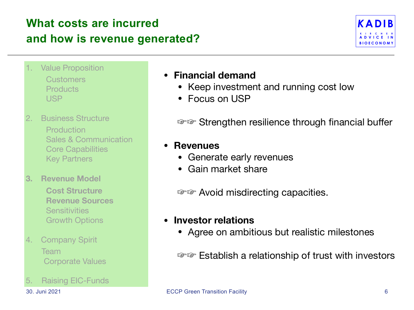### **What costs are incurred and how is revenue generated?**



- **Value Proposition Customers Products** USP
- 2. Business Structure Production Sales & Communication Core Capabilities Key Partners
- **3. Revenue Model Cost Structure Revenue Sources Sensitivities** Growth Options
- 4. Company Spirit Team Corporate Values
- 5. Raising EIC-Funds

#### **• Financial demand**

- Keep investment and running cost low
- Focus on USP

☞☞ Strengthen resilience through financial buffer

#### **• Revenues**

- **•** Generate early revenues
- **•** Gain market share

☞☞ Avoid misdirecting capacities.

#### **• Investor relations**

• Agree on ambitious but realistic milestones

☞☞ Establish a relationship of trust with investors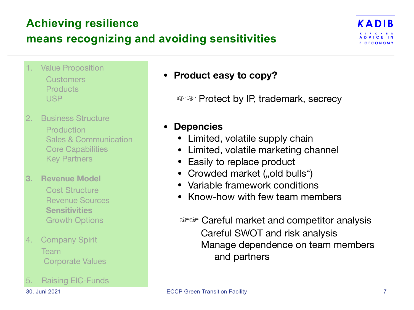### **Achieving resilience**

### **means recognizing and avoiding sensitivities**



**Value Proposition Customers Products** USP

### 2. Business Structure

 Production Sales & Communication Core Capabilities Key Partners

#### **3. Revenue Model**

 Cost Structure Revenue Sources **Sensitivities**  Growth Options

#### 4. Company Spirit Team Corporate Values

5. Raising EIC-Funds

#### **• Product easy to copy?**

☞☞ Protect by IP, trademark, secrecy

#### **• Depencies**

- Limited, volatile supply chain
- Limited, volatile marketing channel
- Easily to replace product
- Crowded market ("old bulls")
- Variable framework conditions
- Know-how with few team members

 ☞☞ Careful market and competitor analysis Careful SWOT and risk analysis Manage dependence on team members and partners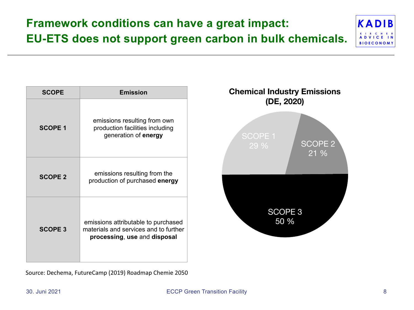## **Framework conditions can have a great impact: EU-ETS does not support green carbon in bulk chemicals.**



| <b>SCOPE</b>   | <b>Emission</b>                                                                                              |
|----------------|--------------------------------------------------------------------------------------------------------------|
| <b>SCOPE 1</b> | emissions resulting from own<br>production facilities including<br>generation of energy                      |
| <b>SCOPE 2</b> | emissions resulting from the<br>production of purchased energy                                               |
| <b>SCOPE 3</b> | emissions attributable to purchased<br>materials and services and to further<br>processing, use and disposal |

Source: Dechema, FutureCamp (2019) Roadmap Chemie 2050



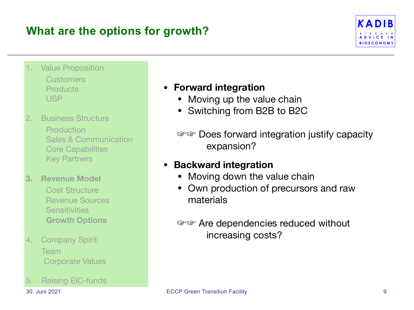### **What are the options for growth?**



- **Value Proposition Customers Products** USP
- 2. Business Structure **Production**  Sales & Communication Core Capabilities Key Partners
- **3. Revenue Model** 
	- Cost Structure Revenue Sources **Sensitivities Growth Options**
- 4. Company Spirit Team Corporate Values
- 5. Raising EIC-funds

#### **• Forward integration**

- Moving up the value chain
- Switching from B2B to B2C
- ☞☞ Does forward integration justify capacity expansion?

#### **• Backward integration**

- Moving down the value chain
- Own production of precursors and raw materials

#### ☞☞ Are dependencies reduced without increasing costs?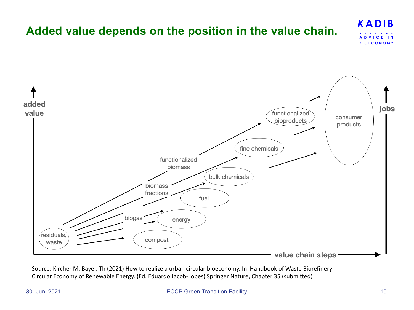#### *K***ADIB K I R C H E R A D V I C E I N BIOECONOMY Added value depends on the position in the value chain.**



Source: Kircher M, Bayer, Th (2021) How to realize a urban circular bioeconomy. In Handbook of Waste Biorefinery -Circular Economy of Renewable Energy. (Ed. Eduardo Jacob-Lopes) Springer Nature, Chapter 35 (submitted)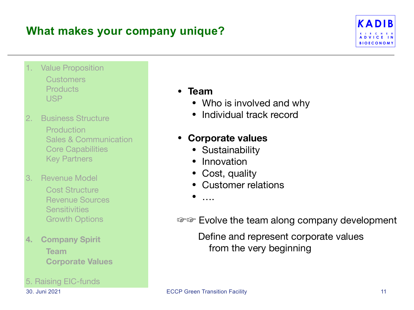### **What makes your company unique?**



**Value Proposition Customers Products** USP

#### 2. Business Structure

**Production**  Sales & Communication Core Capabilities Key Partners

3. Revenue Model Cost Structure Revenue Sources **Sensitivities** Growth Options

#### **4. Company Spirit Team Corporate Values**

#### 5. Raising EIC-funds

#### • **Team**

- Who is involved and why
- Individual track record

#### • **Corporate values**

- Sustainability
- Innovation
- Cost, quality
- Customer relations

• ….

☞☞ Evolve the team along company development

 Define and represent corporate values from the very beginning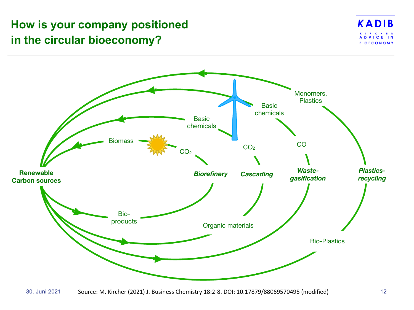### **How is your company positioned in the circular bioeconomy?**



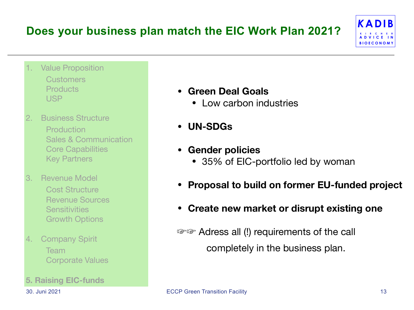### **Does your business plan match the EIC Work Plan 2021?**



- **Value Proposition Customers Products** USP
- 2. Business Structure **Production**  Sales & Communication Core Capabilities Key Partners
- 3. Revenue Model Cost Structure Revenue Sources **Sensitivities** Growth Options
- 4. Company Spirit Team Corporate Values
- **5. Raising EIC-funds**
- **Green Deal Goals** 
	- Low carbon industries
- **• UN-SDGs**
- **• Gender policies** 
	- 35% of EIC-portfolio led by woman
- **Proposal to build on former EU-funded project**
- **Create new market or disrupt existing one**

 ☞☞ Adress all (!) requirements of the call completely in the business plan.